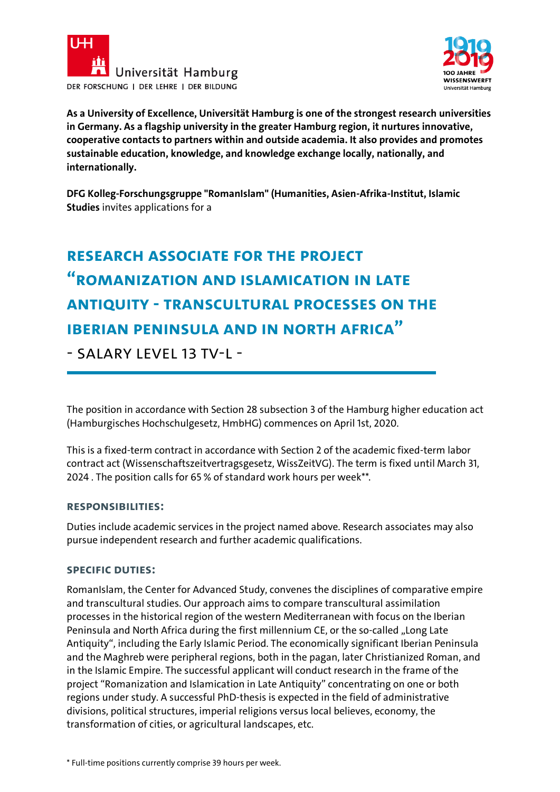



**As a University of Excellence, Universität Hamburg is one of the strongest research universities in Germany. As a flagship university in the greater Hamburg region, it nurtures innovative, cooperative contacts to partners within and outside academia. It also provides and promotes sustainable education, knowledge, and knowledge exchange locally, nationally, and internationally.**

**DFG Kolleg-Forschungsgruppe "RomanIslam" (Humanities, Asien-Afrika-Institut, Islamic Studies** invites applications for a

# **RESEARCH ASSOCIATE FOR THE PROJECT "Romanization and Islamication in Late Antiquity - Transcultural Processes on the Iberian Peninsula and in North Africa"**

- SALARY LEVEL 13 TV-I -

The position in accordance with Section 28 subsection 3 of the Hamburg higher education act (Hamburgisches Hochschulgesetz, HmbHG) commences on April 1st, 2020.

This is a fixed-term contract in accordance with Section 2 of the academic fixed-term labor contract act (Wissenschaftszeitvertragsgesetz, WissZeitVG). The term is fixed until March 31, 2024 . The position calls for 65 % of standard work hours per week\*\*.

### **Responsibilities:**

Duties include academic services in the project named above. Research associates may also pursue independent research and further academic qualifications.

### **Specific Duties:**

RomanIslam, the Center for Advanced Study, convenes the disciplines of comparative empire and transcultural studies. Our approach aims to compare transcultural assimilation processes in the historical region of the western Mediterranean with focus on the Iberian Peninsula and North Africa during the first millennium CE, or the so-called "Long Late Antiquity", including the Early Islamic Period. The economically significant Iberian Peninsula and the Maghreb were peripheral regions, both in the pagan, later Christianized Roman, and in the Islamic Empire. The successful applicant will conduct research in the frame of the project "Romanization and Islamication in Late Antiquity" concentrating on one or both regions under study. A successful PhD-thesis is expected in the field of administrative divisions, political structures, imperial religions versus local believes, economy, the transformation of cities, or agricultural landscapes, etc.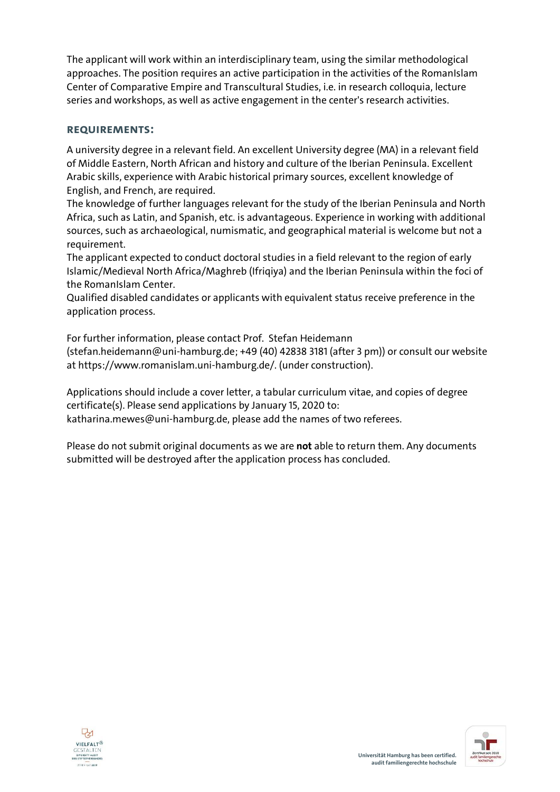The applicant will work within an interdisciplinary team, using the similar methodological approaches. The position requires an active participation in the activities of the RomanIslam Center of Comparative Empire and Transcultural Studies, i.e. in research colloquia, lecture series and workshops, as well as active engagement in the center's research activities.

### **Requirements:**

A university degree in a relevant field. An excellent University degree (MA) in a relevant field of Middle Eastern, North African and history and culture of the Iberian Peninsula. Excellent Arabic skills, experience with Arabic historical primary sources, excellent knowledge of English, and French, are required.

The knowledge of further languages relevant for the study of the Iberian Peninsula and North Africa, such as Latin, and Spanish, etc. is advantageous. Experience in working with additional sources, such as archaeological, numismatic, and geographical material is welcome but not a requirement.

The applicant expected to conduct doctoral studies in a field relevant to the region of early Islamic/Medieval North Africa/Maghreb (Ifriqiya) and the Iberian Peninsula within the foci of the RomanIslam Center.

Qualified disabled candidates or applicants with equivalent status receive preference in the application process.

For further information, please contact Prof. Stefan Heidemann (stefan.heidemann@uni-hamburg.de; +49 (40) 42838 3181 (after 3 pm)) or consult our website at https://www.romanislam.uni-hamburg.de/. (under construction).

Applications should include a cover letter, a tabular curriculum vitae, and copies of degree certificate(s). Please send applications by January 15, 2020 to: katharina.mewes@uni-hamburg.de, please add the names of two referees.

Please do not submit original documents as we are **not** able to return them. Any documents submitted will be destroyed after the application process has concluded.



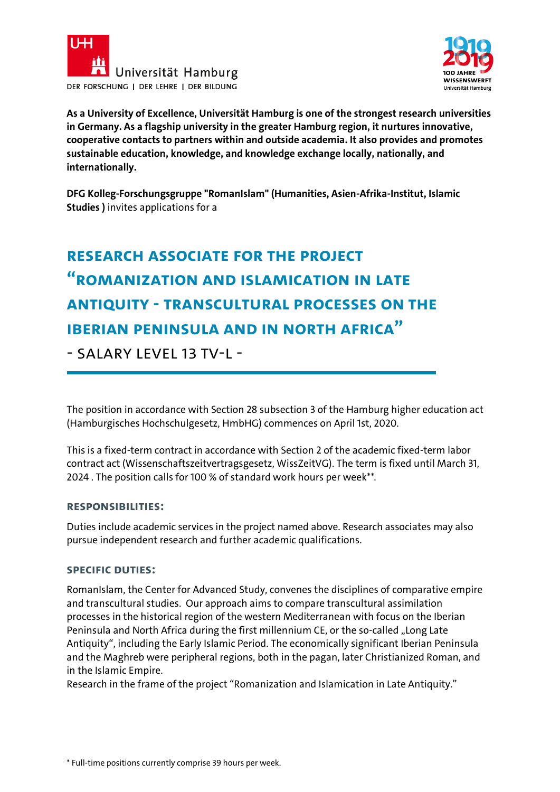



**As a University of Excellence, Universität Hamburg is one of the strongest research universities in Germany. As a flagship university in the greater Hamburg region, it nurtures innovative, cooperative contacts to partners within and outside academia. It also provides and promotes sustainable education, knowledge, and knowledge exchange locally, nationally, and internationally.**

**DFG Kolleg-Forschungsgruppe "RomanIslam" (Humanities, Asien-Afrika-Institut, Islamic Studies )** invites applications for a

# **RESEARCH ASSOCIATE FOR THE PROJECT "Romanization and Islamication in Late Antiquity - Transcultural Processes on the Iberian Peninsula and in North Africa"**

- SALARY LEVEL 13 TV-I -

The position in accordance with Section 28 subsection 3 of the Hamburg higher education act (Hamburgisches Hochschulgesetz, HmbHG) commences on April 1st, 2020.

This is a fixed-term contract in accordance with Section 2 of the academic fixed-term labor contract act (Wissenschaftszeitvertragsgesetz, WissZeitVG). The term is fixed until March 31, 2024 . The position calls for 100 % of standard work hours per week\*\*.

### **Responsibilities:**

Duties include academic services in the project named above. Research associates may also pursue independent research and further academic qualifications.

### **Specific Duties:**

RomanIslam, the Center for Advanced Study, convenes the disciplines of comparative empire and transcultural studies. Our approach aims to compare transcultural assimilation processes in the historical region of the western Mediterranean with focus on the Iberian Peninsula and North Africa during the first millennium CE, or the so-called "Long Late Antiquity", including the Early Islamic Period. The economically significant Iberian Peninsula and the Maghreb were peripheral regions, both in the pagan, later Christianized Roman, and in the Islamic Empire.

Research in the frame of the project "Romanization and Islamication in Late Antiquity."